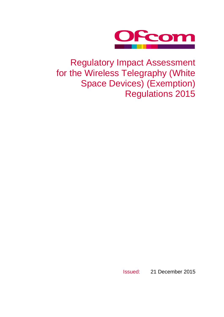

## Regulatory Impact Assessment for the Wireless Telegraphy (White Space Devices) (Exemption) Regulations 2015

Issued: 21 December 2015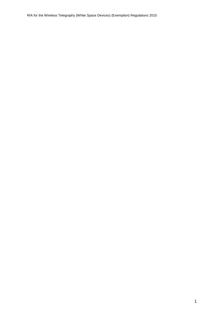RIA for the Wireless Telegraphy (White Space Devices) (Exemption) Regulations 2015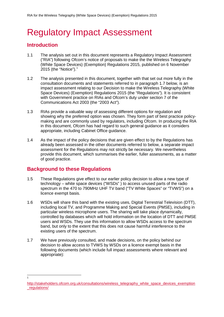# **Regulatory Impact Assessment**

#### **Introduction**

1

 $\overline{a}$ 

- 1.1 The analysis set out in this document represents a Regulatory Impact Assessment ("RIA") following Ofcom's notice of proposals to make the the Wireless Telegraphy (White Space Devices) (Exemption) Regulations 2015, published on 6 November 2015 (the "Notice").[1](#page-2-0)
- 1.2 The analysis presented in this document, together with that set out more fully in the consultation documents and statements referred to in paragraph 1.7 below, is an impact assessment relating to our Decision to make the Wireless Telegraphy (White Space Devices) (Exemption) Regulations 2015 (the "Regulations"). It is consistent with Government practice on RIAs and Ofcom's duty under section 7 of the Communications Act 2003 (the "2003 Act").
- 1.3 RIAs provide a valuable way of assessing different options for regulation and showing why the preferred option was chosen. They form part of best practice policymaking and are commonly used by regulators, including Ofcom. In producing the RIA in this document, Ofcom has had regard to such general guidance as it considers appropriate, including Cabinet Office guidance.
- 1.4 As the impact of the policy decisions that are given effect to by the Regulations has already been assessed in the other documents referred to below, a separate impact assessment for the Regulations may not strictly be necessary. We nevertheless provide this document, which summarises the earlier, fuller assessments, as a matter of good practice.

## **Background to these Regulations**

- 1.5 These Regulations give effect to our earlier policy decision to allow a new type of technology – white space devices ("WSDs" ) to access unused parts of the radio spectrum in the 470 to 790MHz UHF TV band ("TV White Spaces" or "TVWS") on a licence exempt basis.
- 1.6 WSDs will share this band with the existing uses, Digital Terrestrial Television (DTT), including local TV, and Programme Making and Special Events (PMSE), including in particular wireless microphone users. The sharing will take place dynamically, controlled by databases which will hold information on the location of DTT and PMSE users and WSDs. They use this information to allow WSDs access to the spectrum band, but only to the extent that this does not cause harmful interference to the existing users of the spectrum.
- 1.7 We have previously consulted, and made decisions, on the policy behind our decision to allow access to TVWS by WSDs on a licence exempt basis in the following documents (which include full impact assessments where relevant and appropriate):

<span id="page-2-0"></span>[http://stakeholders.ofcom.org.uk/consultations/wireless\\_telegraphy\\_white\\_space\\_devices\\_exemption](http://stakeholders.ofcom.org.uk/consultations/wireless_telegraphy_white_space_devices_exemption_regulations/) [\\_regulations/](http://stakeholders.ofcom.org.uk/consultations/wireless_telegraphy_white_space_devices_exemption_regulations/)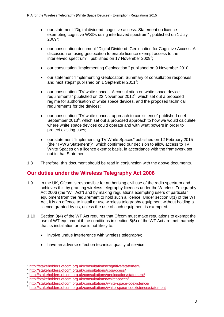- our statement "Digital dividend: cognitive access. Statement on licenceexempting cognitive WSDs using interleaved spectrum" , published on 1 July  $2009^2;$  $2009^2;$
- our consultation document "Digital Dividend: Geolocation for Cognitive Access. A discussion on using geolocation to enable licence exempt access to the interleaved spectrum", published on 17 November 2009<sup>[3](#page-3-1)</sup>;
- our consultation "Implementing Geolocation " published on 9 November 2010,
- our statement "Implementing Geolocation: Summary of consultation responses and next steps" published on 1 September 2011<sup>[4](#page-3-2)</sup>;
- our consultation "TV white spaces: A consultation on white space device requirements" published on 22 November 2012<sup>[5](#page-3-3)</sup>, which set out a proposed regime for authorisation of white space devices, and the proposed technical requirements for the devices;
- our consultation "TV white spaces: approach to coexistence" published on 4 September 2013 $<sup>6</sup>$  $<sup>6</sup>$  $<sup>6</sup>$ , which set out a proposed approach to how we would calculate</sup> where white space devices could operate and with what powers in order to protect existing uses;
- our statement "Implementing TV White Spaces" published on 12 February 2015 (the "TVWS Statement") $^7$  $^7$ , which confirmed our decision to allow access to TV White Spaces on a licence exempt basis, in accordance with the framework set out in that Statement.
- 1.8 Therefore, this document should be read in conjunction with the above documents.

#### **Our duties under the Wireless Telegraphy Act 2006**

- 1.9 In the UK, Ofcom is responsible for authorising civil use of the radio spectrum and achieves this by granting wireless telegraphy licences under the Wireless Telegraphy Act 2006 (the "WT Act") and by making regulations exempting users of particular equipment from the requirement to hold such a licence. Under section 8(1) of the WT Act, it is an offence to install or use wireless telegraphy equipment without holding a licence granted by us, unless the use of such equipment is exempted.
- 1.10 Section 8(4) of the WT Act requires that Ofcom must make regulations to exempt the use of WT equipment if the conditions in section 8(5) of the WT Act are met, namely that its installation or use is not likely to:
	- involve undue interference with wireless telegraphy;
	- have an adverse effect on technical quality of service;

 $\overline{a}$ 

<span id="page-3-0"></span><sup>&</sup>lt;sup>2</sup> <http://stakeholders.ofcom.org.uk/consultations/cognitive/statement/>

<span id="page-3-2"></span><span id="page-3-1"></span>

<sup>3&</sup>lt;br><http://stakeholders.ofcom.org.uk/consultations/cogaccess/><br> $\frac{4 \text{ http://stakeholders.ofcom.org.uk/consultations/geolocation/statement/5} \text{http://stakeholders.ofcom.org.uk/consultations/whitespaces/5}$  $\frac{4 \text{ http://stakeholders.ofcom.org.uk/consultations/geolocation/statement/5} \text{http://stakeholders.ofcom.org.uk/consultations/whitespaces/5}$  $\frac{4 \text{ http://stakeholders.ofcom.org.uk/consultations/geolocation/statement/5} \text{http://stakeholders.ofcom.org.uk/consultations/whitespaces/5}$ 

<span id="page-3-3"></span>

<span id="page-3-4"></span> $\frac{6}{7}$  <http://stakeholders.ofcom.org.uk/consultations/white-space-coexistence/><br> $\frac{7}{7}$ <http://stakeholders.ofcom.org.uk/consultations/white-space-coexistence/statement>

<span id="page-3-5"></span>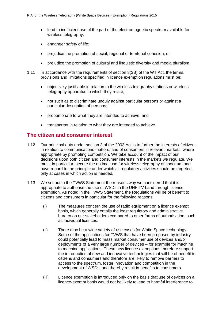- lead to inefficient use of the part of the electromagnetic spectrum available for wireless telegraphy;
- endanger safety of life:
- prejudice the promotion of social, regional or territorial cohesion; or
- prejudice the promotion of cultural and linguistic diversity and media pluralism.
- 1.11 In accordance with the requirements of section 8(3B) of the WT Act, the terms, provisions and limitations specified in licence exemption regulations must be:
	- objectively justifiable in relation to the wireless telegraphy stations or wireless telegraphy apparatus to which they relate;
	- not such as to discriminate unduly against particular persons or against a particular description of persons;
	- proportionate to what they are intended to achieve; and
	- transparent in relation to what they are intended to achieve.

#### **The citizen and consumer interest**

- 1.12 Our principal duty under section 3 of the 2003 Act is to further the interests of citizens in relation to communications matters; and of consumers in relevant markets, where appropriate by promoting competition. We take account of the impact of our decisions upon both citizen and consumer interests in the markets we regulate. We must, in particular, secure the optimal use for wireless telegraphy of spectrum and have regard to the principle under which all regulatory activities should be targeted only at cases in which action is needed.
- 1.13 We set out in the TVWS Statement the reasons why we considered that it is appropriate to authorise the use of WSDs in the UHF TV band through licence exemption. As noted in the TVWS Statement, the Regulations will be of benefit to citizens and consumers in particular for the following reasons:
	- (i) The measures concern the use of radio equipment on a licence exempt basis, which generally entails the least regulatory and administrative burden on our stakeholders compared to other forms of authorisation, such as individual licences.
	- (ii) There may be a wide variety of use cases for White Space technology. Some of the applications for TVWS that have been proposed by industry could potentially lead to mass market consumer use of devices and/or deployments of a very large number of devices – for example for machine to machine applications. These new licence exemptions therefore support the introduction of new and innovative technologies that will be of benefit to citizens and consumers and therefore are likely to remove barriers to access to the spectrum, foster innovation and competition in the development of WSDs, and thereby result in benefits to consumers.
	- (iii) Licence exemption is introduced only on the basis that use of devices on a licence-exempt basis would not be likely to lead to harmful interference to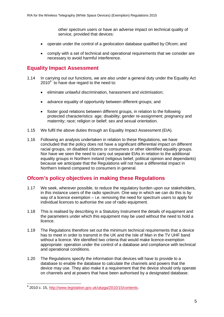other spectrum users or have an adverse impact on technical quality of service, provided that devices:

- operate under the control of a geolocation database qualified by Ofcom; and
- comply with a set of technical and operational requirements that we consider are necessary to avoid harmful interference.

#### **Equality Impact Assessment**

- 1.14 In carrying out our functions, we are also under a general duty under the Equality Act  $2010<sup>8</sup>$  $2010<sup>8</sup>$  $2010<sup>8</sup>$  to have due regard to the need to:
	- eliminate unlawful discrimination, harassment and victimisation;
	- advance equality of opportunity between different groups; and
	- foster good relations between different groups, in relation to the following protected characteristics: age; disability; gender re-assignment; pregnancy and maternity; race; religion or belief; sex and sexual orientation.
- 1.15 We fulfil the above duties through an Equality Impact Assessment (EIA).
- 1.16 Following an analysis undertaken in relation to these Regulations, we have concluded that the policy does not have a significant differential impact on different racial groups, on disabled citizens or consumers or other identified equality groups. Nor have we seen the need to carry out separate EIAs in relation to the additional equality groups in Northern Ireland (religious belief, political opinion and dependants) because we anticipate that the Regulations will not have a differential impact in Northern Ireland compared to consumers in general.

#### **Ofcom's policy objectives in making these Regulations**

- 1.17 We seek, wherever possible, to reduce the regulatory burden upon our stakeholders, in this instance users of the radio spectrum. One way in which we can do this is by way of a licence exemption  $-$  i.e. removing the need for spectrum users to apply for individual licences to authorise the use of radio equipment.
- 1.18 This is realised by describing in a Statutory Instrument the details of equipment and the parameters under which this equipment may be used without the need to hold a licence.
- 1.19 The Regulations therefore set out the minimum technical requirements that a device has to meet in order to transmit in the UK and the Isle of Man in the TV UHF band without a licence. We identified two criteria that would make licence-exemption appropriate: operation under the control of a database and compliance with technical and operational conditions.
- 1.20 The Regulations specify the information that devices will have to provide to a database to enable the database to calculate the channels and powers that the device may use. They also make it a requirement that the device should only operate on channels and at powers that have been authorised by a designated database.

<span id="page-5-0"></span><sup>&</sup>lt;sup>8</sup> 2010 c. 15, [http://www.legislation.gov.uk/ukpga/2010/15/contents.](http://www.legislation.gov.uk/ukpga/2010/15/contents)  $\overline{a}$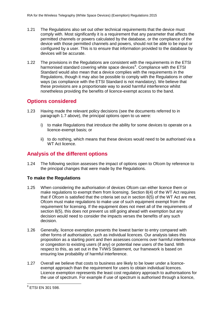- 1.21 The Regulations also set out other technical requirements that the device must comply with. Most significantly it is a requirement that any parameter that affects the permitted channels or powers calculated by the database, or the compliance of the device with those permitted channels and powers, should not be able to be input or configured by a user. This is to ensure that information provided to the database by devices will be accurate.
- 1.22 The provisions in the Regulations are consistent with the requirements in the ETSI harmonised standard covering white space devices<sup>[9](#page-6-0)</sup>. Compliance with the ETSI Standard would also mean that a device complies with the requirements in the Regulations, though it may also be possible to comply with the Regulations in other ways (as compliance with the ETSI Standard is not mandatory). We believe that these provisions are a proportionate way to avoid harmful interference whilst nonetheless providing the benefits of licence-exempt access to the band.

#### **Options considered**

- 1.23 Having made the relevant policy decisions (see the documents referred to in paragraph 1.7 above), the principal options open to us were:
	- i) to make Regulations that introduce the ability for some devices to operate on a licence-exempt basis; or
	- ii) to do nothing, which means that these devices would need to be authorised via a WT Act licence.

## **Analysis of the different options**

1.24 The following section assesses the impact of options open to Ofcom by reference to the principal changes that were made by the Regulations.

#### **To make the Regulations**

- 1.25 When considering the authorisation of devices Ofcom can either licence them or make regulations to exempt them from licensing. Section 8(4) of the WT Act requires that if Ofcom is satisfied that the criteria set out in section 8(5) of the WT Act are met, Ofcom must make regulations to make use of such equipment exempt from the requirement for licensing. If the equipment does not meet all of the requirements of section 8(5), this does not prevent us still going ahead with exemption but any decision would need to consider the impacts verses the benefits of any such decision.
- 1.26 Generally, licence exemption presents the lowest barrier to entry compared with other forms of authorisation, such as individual licences. Our analysis takes this proposition as a starting point and then assesses concerns over harmful interference or congestion to existing users (if any) or potential new users of the band. With respect to this, as set out in the TVWS Statement, our framework is based on ensuring low probability of harmful interference.
- 1.27 Overall we believe that costs to business are likely to be lower under a licenceexempt approach than the requirement for users to obtain individual licences. Licence exemption represents the least cost regulatory approach to authorisations for the use of spectrum. For example if use of spectrum is authorised through a licence,

<span id="page-6-0"></span> $^9$  ETSI EN 301 598.  $\overline{a}$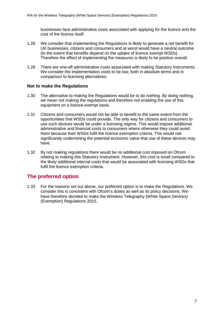businesses face administrative costs associated with applying for the licence and the cost of the licence itself.

- 1.28 We consider that implementing the Regulations is likely to generate a net benefit for UK businesses, citizens and consumers and at worst would have a neutral outcome (to the extent that benefits depend on the uptake of licence exempt WSDs). Therefore the effect of implementing the measures is likely to be positive overall.
- 1.29 There are one-off administrative costs associated with making Statutory Instruments. We consider the implementation costs to be low, both in absolute terms and in comparison to licensing alternatives.

#### **Not to make the Regulations**

- 1.30 The alternative to making the Regulations would be to do nothing. By doing nothing, we mean not making the regulations and therefore not enabling the use of this equipment on a licence-exempt basis.
- 1.31 Citizens and consumers would not be able to benefit to the same extent from the opportunities that WSDs could provide. The only way for citizens and consumers to use such devices would be under a licensing regime. This would impose additional administrative and financial costs to consumers where otherwise they could avoid them because their WSDs fulfil the licence exemption criteria. This would risk significantly undermining the potential economic value that use of these devices may have.
- 1.32 By not making regulations there would be no additional cost imposed on Ofcom relating to making this Statutory Instrument. However, this cost is small compared to the likely additional internal costs that would be associated with licensing WSDs that fulfil the licence exemption criteria.

#### **The preferred option**

1.33 For the reasons set out above, our preferred option is to make the Regulations. We consider this is consistent with Ofcom's duties as well as its policy decisions. We have therefore decided to make the Wireless Telegraphy (White Space Devices) (Exemption) Regulations 2015.